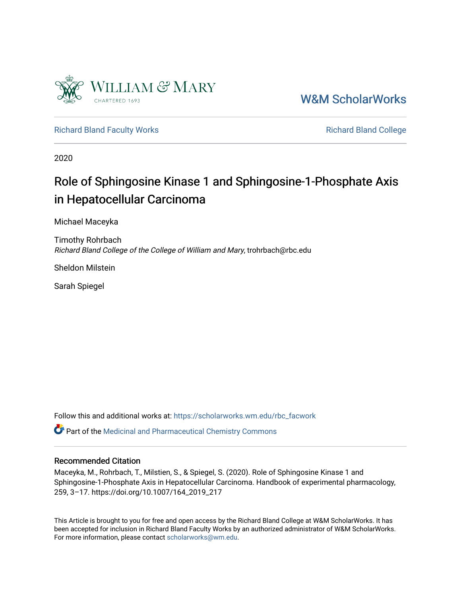

[W&M ScholarWorks](https://scholarworks.wm.edu/) 

[Richard Bland Faculty Works](https://scholarworks.wm.edu/rbc_facwork) **Richard Bland College** Richard Bland College

2020

## Role of Sphingosine Kinase 1 and Sphingosine-1-Phosphate Axis in Hepatocellular Carcinoma

Michael Maceyka

Timothy Rohrbach Richard Bland College of the College of William and Mary, trohrbach@rbc.edu

Sheldon Milstein

Sarah Spiegel

Follow this and additional works at: [https://scholarworks.wm.edu/rbc\\_facwork](https://scholarworks.wm.edu/rbc_facwork?utm_source=scholarworks.wm.edu%2Frbc_facwork%2F15&utm_medium=PDF&utm_campaign=PDFCoverPages) 

Part of the [Medicinal and Pharmaceutical Chemistry Commons](http://network.bepress.com/hgg/discipline/734?utm_source=scholarworks.wm.edu%2Frbc_facwork%2F15&utm_medium=PDF&utm_campaign=PDFCoverPages) 

## Recommended Citation

Maceyka, M., Rohrbach, T., Milstien, S., & Spiegel, S. (2020). Role of Sphingosine Kinase 1 and Sphingosine-1-Phosphate Axis in Hepatocellular Carcinoma. Handbook of experimental pharmacology, 259, 3–17. https://doi.org/10.1007/164\_2019\_217

This Article is brought to you for free and open access by the Richard Bland College at W&M ScholarWorks. It has been accepted for inclusion in Richard Bland Faculty Works by an authorized administrator of W&M ScholarWorks. For more information, please contact [scholarworks@wm.edu](mailto:scholarworks@wm.edu).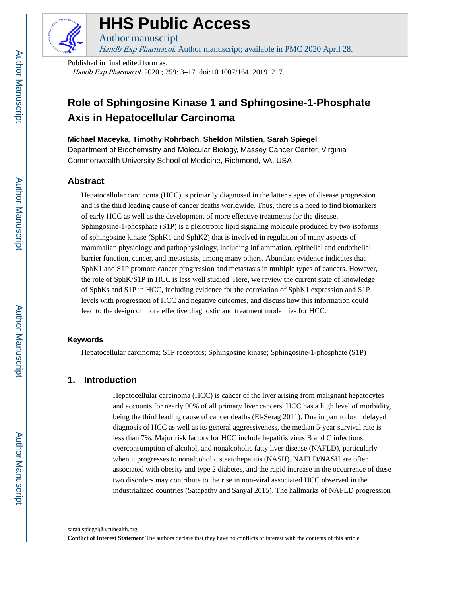

# **HHS Public Access**

Handb Exp Pharmacol. Author manuscript; available in PMC 2020 April 28.

Published in final edited form as: Handb Exp Pharmacol. 2020; 259: 3-17. doi:10.1007/164\_2019\_217.

Author manuscript

## **Role of Sphingosine Kinase 1 and Sphingosine-1-Phosphate Axis in Hepatocellular Carcinoma**

**Michael Maceyka**, **Timothy Rohrbach**, **Sheldon Milstien**, **Sarah Spiegel**

Department of Biochemistry and Molecular Biology, Massey Cancer Center, Virginia Commonwealth University School of Medicine, Richmond, VA, USA

## **Abstract**

Hepatocellular carcinoma (HCC) is primarily diagnosed in the latter stages of disease progression and is the third leading cause of cancer deaths worldwide. Thus, there is a need to find biomarkers of early HCC as well as the development of more effective treatments for the disease. Sphingosine-1-phosphate (S1P) is a pleiotropic lipid signaling molecule produced by two isoforms of sphingosine kinase (SphK1 and SphK2) that is involved in regulation of many aspects of mammalian physiology and pathophysiology, including inflammation, epithelial and endothelial barrier function, cancer, and metastasis, among many others. Abundant evidence indicates that SphK1 and S1P promote cancer progression and metastasis in multiple types of cancers. However, the role of SphK/S1P in HCC is less well studied. Here, we review the current state of knowledge of SphKs and S1P in HCC, including evidence for the correlation of SphK1 expression and S1P levels with progression of HCC and negative outcomes, and discuss how this information could lead to the design of more effective diagnostic and treatment modalities for HCC.

## **Keywords**

Hepatocellular carcinoma; S1P receptors; Sphingosine kinase; Sphingosine-1-phosphate (S1P)

## **1. Introduction**

Hepatocellular carcinoma (HCC) is cancer of the liver arising from malignant hepatocytes and accounts for nearly 90% of all primary liver cancers. HCC has a high level of morbidity, being the third leading cause of cancer deaths (El-Serag 2011). Due in part to both delayed diagnosis of HCC as well as its general aggressiveness, the median 5-year survival rate is less than 7%. Major risk factors for HCC include hepatitis virus B and C infections, overconsumption of alcohol, and nonalcoholic fatty liver disease (NAFLD), particularly when it progresses to nonalcoholic steatohepatitis (NASH). NAFLD/NASH are often associated with obesity and type 2 diabetes, and the rapid increase in the occurrence of these two disorders may contribute to the rise in non-viral associated HCC observed in the industrialized countries (Satapathy and Sanyal 2015). The hallmarks of NAFLD progression

sarah.spiegel@vcuhealth.org.

**Conflict of Interest Statement** The authors declare that they have no conflicts of interest with the contents of this article.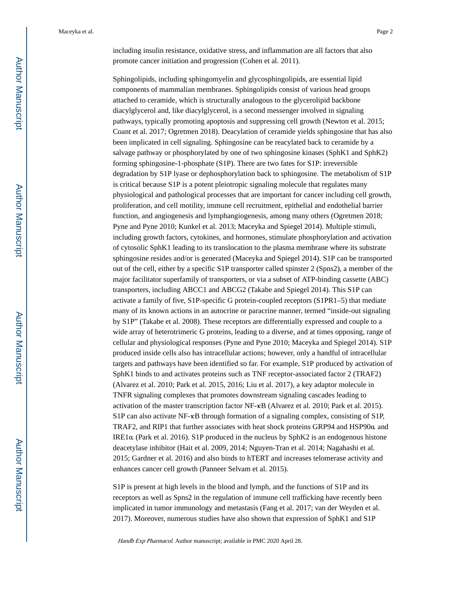including insulin resistance, oxidative stress, and inflammation are all factors that also promote cancer initiation and progression (Cohen et al. 2011).

Sphingolipids, including sphingomyelin and glycosphingolipids, are essential lipid components of mammalian membranes. Sphingolipids consist of various head groups attached to ceramide, which is structurally analogous to the glycerolipid backbone diacylglycerol and, like diacylglycerol, is a second messenger involved in signaling pathways, typically promoting apoptosis and suppressing cell growth (Newton et al. 2015; Coant et al. 2017; Ogretmen 2018). Deacylation of ceramide yields sphingosine that has also been implicated in cell signaling. Sphingosine can be reacylated back to ceramide by a salvage pathway or phosphorylated by one of two sphingosine kinases (SphK1 and SphK2) forming sphingosine-1-phosphate (S1P). There are two fates for S1P: irreversible degradation by S1P lyase or dephosphorylation back to sphingosine. The metabolism of S1P is critical because S1P is a potent pleiotropic signaling molecule that regulates many physiological and pathological processes that are important for cancer including cell growth, proliferation, and cell motility, immune cell recruitment, epithelial and endothelial barrier function, and angiogenesis and lymphangiogenesis, among many others (Ogretmen 2018; Pyne and Pyne 2010; Kunkel et al. 2013; Maceyka and Spiegel 2014). Multiple stimuli, including growth factors, cytokines, and hormones, stimulate phosphorylation and activation of cytosolic SphK1 leading to its translocation to the plasma membrane where its substrate sphingosine resides and/or is generated (Maceyka and Spiegel 2014). S1P can be transported out of the cell, either by a specific S1P transporter called spinster 2 (Spns2), a member of the major facilitator superfamily of transporters, or via a subset of ATP-binding cassette (ABC) transporters, including ABCC1 and ABCG2 (Takabe and Spiegel 2014). This S1P can activate a family of five, S1P-specific G protein-coupled receptors (S1PR1–5) that mediate many of its known actions in an autocrine or paracrine manner, termed "inside-out signaling by S1P" (Takabe et al. 2008). These receptors are differentially expressed and couple to a wide array of heterotrimeric G proteins, leading to a diverse, and at times opposing, range of cellular and physiological responses (Pyne and Pyne 2010; Maceyka and Spiegel 2014). S1P produced inside cells also has intracellular actions; however, only a handful of intracellular targets and pathways have been identified so far. For example, S1P produced by activation of SphK1 binds to and activates proteins such as TNF receptor-associated factor 2 (TRAF2) (Alvarez et al. 2010; Park et al. 2015, 2016; Liu et al. 2017), a key adaptor molecule in TNFR signaling complexes that promotes downstream signaling cascades leading to activation of the master transcription factor NF-κB (Alvarez et al. 2010; Park et al. 2015). S1P can also activate NF-κB through formation of a signaling complex, consisting of S1P, TRAF2, and RIP1 that further associates with heat shock proteins GRP94 and HSP90α and IRE1α (Park et al. 2016). S1P produced in the nucleus by SphK2 is an endogenous histone deacetylase inhibitor (Hait et al. 2009, 2014; Nguyen-Tran et al. 2014; Nagahashi et al. 2015; Gardner et al. 2016) and also binds to hTERT and increases telomerase activity and enhances cancer cell growth (Panneer Selvam et al. 2015).

S1P is present at high levels in the blood and lymph, and the functions of S1P and its receptors as well as Spns2 in the regulation of immune cell trafficking have recently been implicated in tumor immunology and metastasis (Fang et al. 2017; van der Weyden et al. 2017). Moreover, numerous studies have also shown that expression of SphK1 and S1P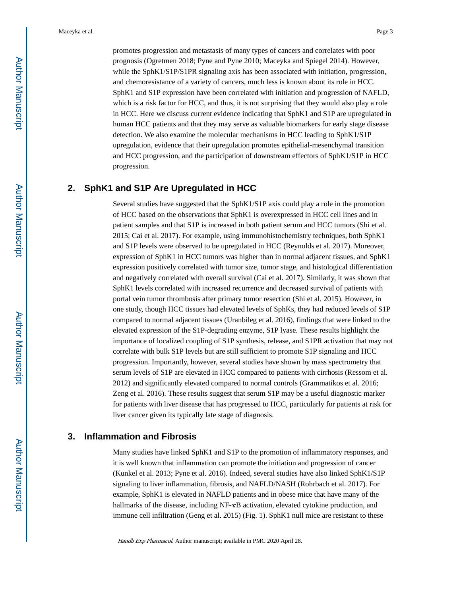promotes progression and metastasis of many types of cancers and correlates with poor prognosis (Ogretmen 2018; Pyne and Pyne 2010; Maceyka and Spiegel 2014). However, while the SphK1/S1P/S1PR signaling axis has been associated with initiation, progression, and chemoresistance of a variety of cancers, much less is known about its role in HCC. SphK1 and S1P expression have been correlated with initiation and progression of NAFLD, which is a risk factor for HCC, and thus, it is not surprising that they would also play a role in HCC. Here we discuss current evidence indicating that SphK1 and S1P are upregulated in human HCC patients and that they may serve as valuable biomarkers for early stage disease detection. We also examine the molecular mechanisms in HCC leading to SphK1/S1P upregulation, evidence that their upregulation promotes epithelial-mesenchymal transition and HCC progression, and the participation of downstream effectors of SphK1/S1P in HCC progression.

## **2. SphK1 and S1P Are Upregulated in HCC**

Several studies have suggested that the SphK1/S1P axis could play a role in the promotion of HCC based on the observations that SphK1 is overexpressed in HCC cell lines and in patient samples and that S1P is increased in both patient serum and HCC tumors (Shi et al. 2015; Cai et al. 2017). For example, using immunohistochemistry techniques, both SphK1 and S1P levels were observed to be upregulated in HCC (Reynolds et al. 2017). Moreover, expression of SphK1 in HCC tumors was higher than in normal adjacent tissues, and SphK1 expression positively correlated with tumor size, tumor stage, and histological differentiation and negatively correlated with overall survival (Cai et al. 2017). Similarly, it was shown that SphK1 levels correlated with increased recurrence and decreased survival of patients with portal vein tumor thrombosis after primary tumor resection (Shi et al. 2015). However, in one study, though HCC tissues had elevated levels of SphKs, they had reduced levels of S1P compared to normal adjacent tissues (Uranbileg et al. 2016), findings that were linked to the elevated expression of the S1P-degrading enzyme, S1P lyase. These results highlight the importance of localized coupling of S1P synthesis, release, and S1PR activation that may not correlate with bulk S1P levels but are still sufficient to promote S1P signaling and HCC progression. Importantly, however, several studies have shown by mass spectrometry that serum levels of S1P are elevated in HCC compared to patients with cirrhosis (Ressom et al. 2012) and significantly elevated compared to normal controls (Grammatikos et al. 2016; Zeng et al. 2016). These results suggest that serum S1P may be a useful diagnostic marker for patients with liver disease that has progressed to HCC, particularly for patients at risk for liver cancer given its typically late stage of diagnosis.

## **3. Inflammation and Fibrosis**

Many studies have linked SphK1 and S1P to the promotion of inflammatory responses, and it is well known that inflammation can promote the initiation and progression of cancer (Kunkel et al. 2013; Pyne et al. 2016). Indeed, several studies have also linked SphK1/S1P signaling to liver inflammation, fibrosis, and NAFLD/NASH (Rohrbach et al. 2017). For example, SphK1 is elevated in NAFLD patients and in obese mice that have many of the hallmarks of the disease, including NF-κB activation, elevated cytokine production, and immune cell infiltration (Geng et al. 2015) (Fig. 1). SphK1 null mice are resistant to these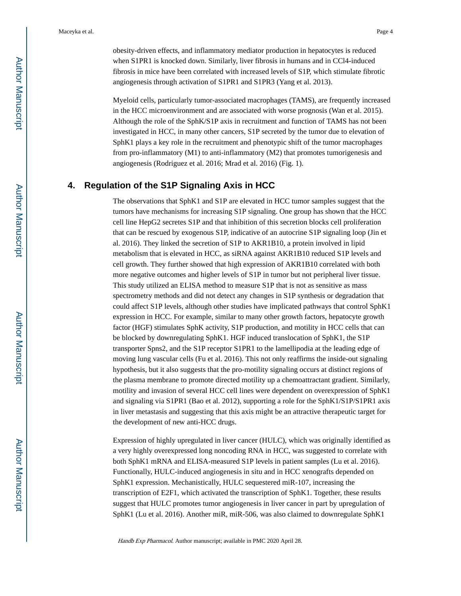obesity-driven effects, and inflammatory mediator production in hepatocytes is reduced when S1PR1 is knocked down. Similarly, liver fibrosis in humans and in CCl4-induced fibrosis in mice have been correlated with increased levels of S1P, which stimulate fibrotic angiogenesis through activation of S1PR1 and S1PR3 (Yang et al. 2013).

Myeloid cells, particularly tumor-associated macrophages (TAMS), are frequently increased in the HCC microenvironment and are associated with worse prognosis (Wan et al. 2015). Although the role of the SphK/S1P axis in recruitment and function of TAMS has not been investigated in HCC, in many other cancers, S1P secreted by the tumor due to elevation of SphK1 plays a key role in the recruitment and phenotypic shift of the tumor macrophages from pro-inflammatory (M1) to anti-inflammatory (M2) that promotes tumorigenesis and angiogenesis (Rodriguez et al. 2016; Mrad et al. 2016) (Fig. 1).

## **4. Regulation of the S1P Signaling Axis in HCC**

The observations that SphK1 and S1P are elevated in HCC tumor samples suggest that the tumors have mechanisms for increasing S1P signaling. One group has shown that the HCC cell line HepG2 secretes S1P and that inhibition of this secretion blocks cell proliferation that can be rescued by exogenous S1P, indicative of an autocrine S1P signaling loop (Jin et al. 2016). They linked the secretion of S1P to AKR1B10, a protein involved in lipid metabolism that is elevated in HCC, as siRNA against AKR1B10 reduced S1P levels and cell growth. They further showed that high expression of AKR1B10 correlated with both more negative outcomes and higher levels of S1P in tumor but not peripheral liver tissue. This study utilized an ELISA method to measure S1P that is not as sensitive as mass spectrometry methods and did not detect any changes in S1P synthesis or degradation that could affect S1P levels, although other studies have implicated pathways that control SphK1 expression in HCC. For example, similar to many other growth factors, hepatocyte growth factor (HGF) stimulates SphK activity, S1P production, and motility in HCC cells that can be blocked by downregulating SphK1. HGF induced translocation of SphK1, the S1P transporter Spns2, and the S1P receptor S1PR1 to the lamellipodia at the leading edge of moving lung vascular cells (Fu et al. 2016). This not only reaffirms the inside-out signaling hypothesis, but it also suggests that the pro-motility signaling occurs at distinct regions of the plasma membrane to promote directed motility up a chemoattractant gradient. Similarly, motility and invasion of several HCC cell lines were dependent on overexpression of SphK1 and signaling via S1PR1 (Bao et al. 2012), supporting a role for the SphK1/S1P/S1PR1 axis in liver metastasis and suggesting that this axis might be an attractive therapeutic target for the development of new anti-HCC drugs.

Expression of highly upregulated in liver cancer (HULC), which was originally identified as a very highly overexpressed long noncoding RNA in HCC, was suggested to correlate with both SphK1 mRNA and ELISA-measured S1P levels in patient samples (Lu et al. 2016). Functionally, HULC-induced angiogenesis in situ and in HCC xenografts depended on SphK1 expression. Mechanistically, HULC sequestered miR-107, increasing the transcription of E2F1, which activated the transcription of SphK1. Together, these results suggest that HULC promotes tumor angiogenesis in liver cancer in part by upregulation of SphK1 (Lu et al. 2016). Another miR, miR-506, was also claimed to downregulate SphK1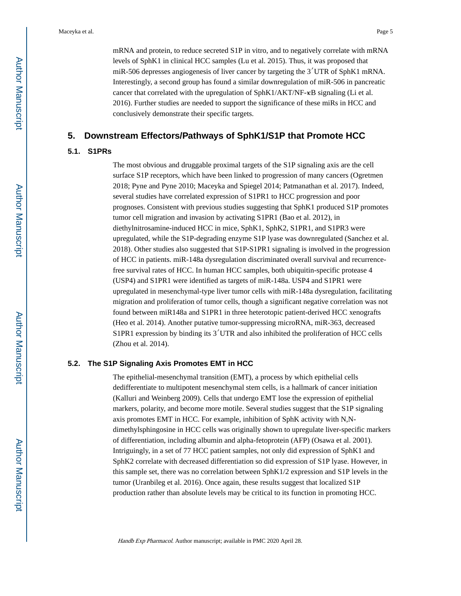mRNA and protein, to reduce secreted S1P in vitro, and to negatively correlate with mRNA levels of SphK1 in clinical HCC samples (Lu et al. 2015). Thus, it was proposed that miR-506 depresses angiogenesis of liver cancer by targeting the 3′UTR of SphK1 mRNA. Interestingly, a second group has found a similar downregulation of miR-506 in pancreatic cancer that correlated with the upregulation of SphK1/AKT/NF-κB signaling (Li et al. 2016). Further studies are needed to support the significance of these miRs in HCC and conclusively demonstrate their specific targets.

#### **5. Downstream Effectors/Pathways of SphK1/S1P that Promote HCC**

#### **5.1. S1PRs**

The most obvious and druggable proximal targets of the S1P signaling axis are the cell surface S1P receptors, which have been linked to progression of many cancers (Ogretmen 2018; Pyne and Pyne 2010; Maceyka and Spiegel 2014; Patmanathan et al. 2017). Indeed, several studies have correlated expression of S1PR1 to HCC progression and poor prognoses. Consistent with previous studies suggesting that SphK1 produced S1P promotes tumor cell migration and invasion by activating S1PR1 (Bao et al. 2012), in diethylnitrosamine-induced HCC in mice, SphK1, SphK2, S1PR1, and S1PR3 were upregulated, while the S1P-degrading enzyme S1P lyase was downregulated (Sanchez et al. 2018). Other studies also suggested that S1P-S1PR1 signaling is involved in the progression of HCC in patients. miR-148a dysregulation discriminated overall survival and recurrencefree survival rates of HCC. In human HCC samples, both ubiquitin-specific protease 4 (USP4) and S1PR1 were identified as targets of miR-148a. USP4 and S1PR1 were upregulated in mesenchymal-type liver tumor cells with miR-148a dysregulation, facilitating migration and proliferation of tumor cells, though a significant negative correlation was not found between miR148a and S1PR1 in three heterotopic patient-derived HCC xenografts (Heo et al. 2014). Another putative tumor-suppressing microRNA, miR-363, decreased S1PR1 expression by binding its 3′UTR and also inhibited the proliferation of HCC cells (Zhou et al. 2014).

#### **5.2. The S1P Signaling Axis Promotes EMT in HCC**

The epithelial-mesenchymal transition (EMT), a process by which epithelial cells dedifferentiate to multipotent mesenchymal stem cells, is a hallmark of cancer initiation (Kalluri and Weinberg 2009). Cells that undergo EMT lose the expression of epithelial markers, polarity, and become more motile. Several studies suggest that the S1P signaling axis promotes EMT in HCC. For example, inhibition of SphK activity with N,Ndimethylsphingosine in HCC cells was originally shown to upregulate liver-specific markers of differentiation, including albumin and alpha-fetoprotein (AFP) (Osawa et al. 2001). Intriguingly, in a set of 77 HCC patient samples, not only did expression of SphK1 and SphK2 correlate with decreased differentiation so did expression of S1P lyase. However, in this sample set, there was no correlation between SphK1/2 expression and S1P levels in the tumor (Uranbileg et al. 2016). Once again, these results suggest that localized S1P production rather than absolute levels may be critical to its function in promoting HCC.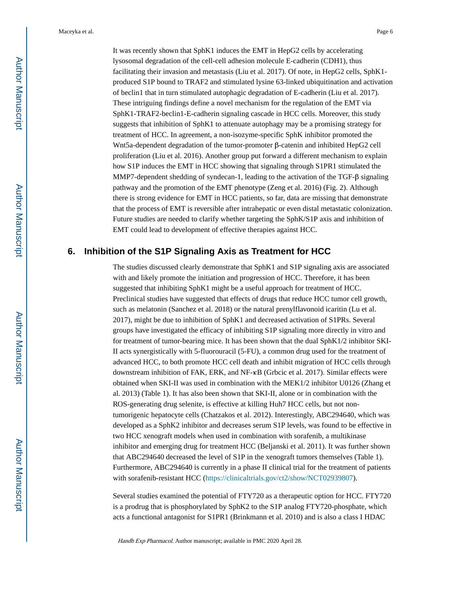It was recently shown that SphK1 induces the EMT in HepG2 cells by accelerating lysosomal degradation of the cell-cell adhesion molecule E-cadherin (CDH1), thus facilitating their invasion and metastasis (Liu et al. 2017). Of note, in HepG2 cells, SphK1 produced S1P bound to TRAF2 and stimulated lysine 63-linked ubiquitination and activation of beclin1 that in turn stimulated autophagic degradation of E-cadherin (Liu et al. 2017). These intriguing findings define a novel mechanism for the regulation of the EMT via SphK1-TRAF2-beclin1-E-cadherin signaling cascade in HCC cells. Moreover, this study suggests that inhibition of SphK1 to attenuate autophagy may be a promising strategy for treatment of HCC. In agreement, a non-isozyme-specific SphK inhibitor promoted the Wnt5a-dependent degradation of the tumor-promoter β-catenin and inhibited HepG2 cell proliferation (Liu et al. 2016). Another group put forward a different mechanism to explain how S1P induces the EMT in HCC showing that signaling through S1PR1 stimulated the MMP7-dependent shedding of syndecan-1, leading to the activation of the TGF-β signaling pathway and the promotion of the EMT phenotype (Zeng et al. 2016) (Fig. 2). Although there is strong evidence for EMT in HCC patients, so far, data are missing that demonstrate that the process of EMT is reversible after intrahepatic or even distal metastatic colonization. Future studies are needed to clarify whether targeting the SphK/S1P axis and inhibition of EMT could lead to development of effective therapies against HCC.

## **6. Inhibition of the S1P Signaling Axis as Treatment for HCC**

The studies discussed clearly demonstrate that SphK1 and S1P signaling axis are associated with and likely promote the initiation and progression of HCC. Therefore, it has been suggested that inhibiting SphK1 might be a useful approach for treatment of HCC. Preclinical studies have suggested that effects of drugs that reduce HCC tumor cell growth, such as melatonin (Sanchez et al. 2018) or the natural prenylflavonoid icaritin (Lu et al. 2017), might be due to inhibition of SphK1 and decreased activation of S1PRs. Several groups have investigated the efficacy of inhibiting S1P signaling more directly in vitro and for treatment of tumor-bearing mice. It has been shown that the dual SphK1/2 inhibitor SKI-II acts synergistically with 5-fluorouracil (5-FU), a common drug used for the treatment of advanced HCC, to both promote HCC cell death and inhibit migration of HCC cells through downstream inhibition of FAK, ERK, and NF-κB (Grbcic et al. 2017). Similar effects were obtained when SKI-II was used in combination with the MEK1/2 inhibitor U0126 (Zhang et al. 2013) (Table 1). It has also been shown that SKI-II, alone or in combination with the ROS-generating drug selenite, is effective at killing Huh7 HCC cells, but not nontumorigenic hepatocyte cells (Chatzakos et al. 2012). Interestingly, ABC294640, which was developed as a SphK2 inhibitor and decreases serum S1P levels, was found to be effective in two HCC xenograft models when used in combination with sorafenib, a multikinase inhibitor and emerging drug for treatment HCC (Beljanski et al. 2011). It was further shown that ABC294640 decreased the level of S1P in the xenograft tumors themselves (Table 1). Furthermore, ABC294640 is currently in a phase II clinical trial for the treatment of patients with sorafenib-resistant HCC [\(https://clinicaltrials.gov/ct2/show/NCT02939807](https://clinicaltrials.gov/ct2/show/NCT02939807)).

Several studies examined the potential of FTY720 as a therapeutic option for HCC. FTY720 is a prodrug that is phosphorylated by SphK2 to the S1P analog FTY720-phosphate, which acts a functional antagonist for S1PR1 (Brinkmann et al. 2010) and is also a class I HDAC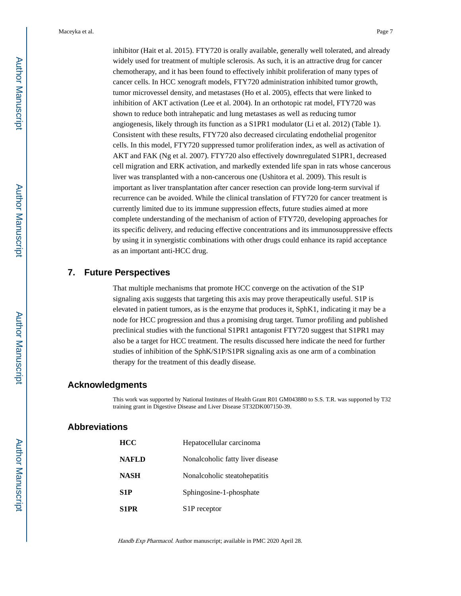inhibitor (Hait et al. 2015). FTY720 is orally available, generally well tolerated, and already widely used for treatment of multiple sclerosis. As such, it is an attractive drug for cancer chemotherapy, and it has been found to effectively inhibit proliferation of many types of cancer cells. In HCC xenograft models, FTY720 administration inhibited tumor growth, tumor microvessel density, and metastases (Ho et al. 2005), effects that were linked to inhibition of AKT activation (Lee et al. 2004). In an orthotopic rat model, FTY720 was shown to reduce both intrahepatic and lung metastases as well as reducing tumor angiogenesis, likely through its function as a S1PR1 modulator (Li et al. 2012) (Table 1). Consistent with these results, FTY720 also decreased circulating endothelial progenitor cells. In this model, FTY720 suppressed tumor proliferation index, as well as activation of AKT and FAK (Ng et al. 2007). FTY720 also effectively downregulated S1PR1, decreased cell migration and ERK activation, and markedly extended life span in rats whose cancerous liver was transplanted with a non-cancerous one (Ushitora et al. 2009). This result is important as liver transplantation after cancer resection can provide long-term survival if recurrence can be avoided. While the clinical translation of FTY720 for cancer treatment is currently limited due to its immune suppression effects, future studies aimed at more complete understanding of the mechanism of action of FTY720, developing approaches for its specific delivery, and reducing effective concentrations and its immunosuppressive effects by using it in synergistic combinations with other drugs could enhance its rapid acceptance as an important anti-HCC drug.

## **7. Future Perspectives**

That multiple mechanisms that promote HCC converge on the activation of the S1P signaling axis suggests that targeting this axis may prove therapeutically useful. S1P is elevated in patient tumors, as is the enzyme that produces it, SphK1, indicating it may be a node for HCC progression and thus a promising drug target. Tumor profiling and published preclinical studies with the functional S1PR1 antagonist FTY720 suggest that S1PR1 may also be a target for HCC treatment. The results discussed here indicate the need for further studies of inhibition of the SphK/S1P/S1PR signaling axis as one arm of a combination therapy for the treatment of this deadly disease.

#### **Acknowledgments**

This work was supported by National Institutes of Health Grant R01 GM043880 to S.S. T.R. was supported by T32 training grant in Digestive Disease and Liver Disease 5T32DK007150-39.

## **Abbreviations**

| HCC          | Hepatocellular carcinoma         |  |  |
|--------------|----------------------------------|--|--|
| <b>NAFLD</b> | Nonalcoholic fatty liver disease |  |  |
| <b>NASH</b>  | Nonalcoholic steatohepatitis     |  |  |
| S1P          | Sphingosine-1-phosphate          |  |  |
| S1PR         | S <sub>1</sub> P receptor        |  |  |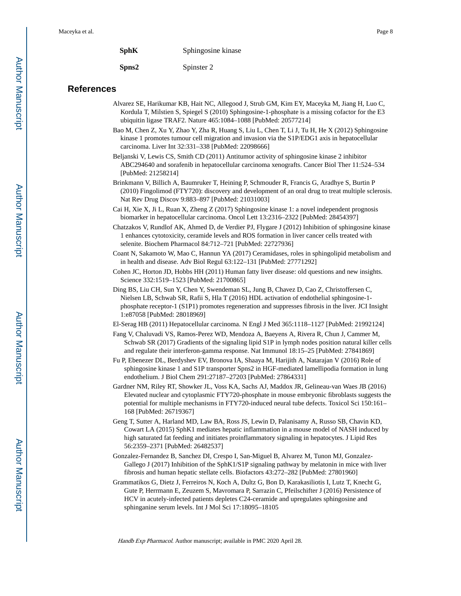| <b>SphK</b><br>Sphingosine kinase |
|-----------------------------------|
|-----------------------------------|

**Spns2** Spinster 2

#### **References**

- Alvarez SE, Harikumar KB, Hait NC, Allegood J, Strub GM, Kim EY, Maceyka M, Jiang H, Luo C, Kordula T, Milstien S, Spiegel S (2010) Sphingosine-1-phosphate is a missing cofactor for the E3 ubiquitin ligase TRAF2. Nature 465:1084–1088 [PubMed: 20577214]
- Bao M, Chen Z, Xu Y, Zhao Y, Zha R, Huang S, Liu L, Chen T, Li J, Tu H, He X (2012) Sphingosine kinase 1 promotes tumour cell migration and invasion via the S1P/EDG1 axis in hepatocellular carcinoma. Liver Int 32:331–338 [PubMed: 22098666]
- Beljanski V, Lewis CS, Smith CD (2011) Antitumor activity of sphingosine kinase 2 inhibitor ABC294640 and sorafenib in hepatocellular carcinoma xenografts. Cancer Biol Ther 11:524–534 [PubMed: 21258214]
- Brinkmann V, Billich A, Baumruker T, Heining P, Schmouder R, Francis G, Aradhye S, Burtin P (2010) Fingolimod (FTY720): discovery and development of an oral drug to treat multiple sclerosis. Nat Rev Drug Discov 9:883–897 [PubMed: 21031003]
- Cai H, Xie X, Ji L, Ruan X, Zheng Z (2017) Sphingosine kinase 1: a novel independent prognosis biomarker in hepatocellular carcinoma. Oncol Lett 13:2316–2322 [PubMed: 28454397]
- Chatzakos V, Rundlof AK, Ahmed D, de Verdier PJ, Flygare J (2012) Inhibition of sphingosine kinase 1 enhances cytotoxicity, ceramide levels and ROS formation in liver cancer cells treated with selenite. Biochem Pharmacol 84:712–721 [PubMed: 22727936]
- Coant N, Sakamoto W, Mao C, Hannun YA (2017) Ceramidases, roles in sphingolipid metabolism and in health and disease. Adv Biol Regul 63:122–131 [PubMed: 27771292]
- Cohen JC, Horton JD, Hobbs HH (2011) Human fatty liver disease: old questions and new insights. Science 332:1519–1523 [PubMed: 21700865]
- Ding BS, Liu CH, Sun Y, Chen Y, Swendeman SL, Jung B, Chavez D, Cao Z, Christoffersen C, Nielsen LB, Schwab SR, Rafii S, Hla T (2016) HDL activation of endothelial sphingosine-1 phosphate receptor-1 (S1P1) promotes regeneration and suppresses fibrosis in the liver. JCI Insight 1:e87058 [PubMed: 28018969]
- El-Serag HB (2011) Hepatocellular carcinoma. N Engl J Med 365:1118–1127 [PubMed: 21992124]
- Fang V, Chaluvadi VS, Ramos-Perez WD, Mendoza A, Baeyens A, Rivera R, Chun J, Cammer M, Schwab SR (2017) Gradients of the signaling lipid S1P in lymph nodes position natural killer cells and regulate their interferon-gamma response. Nat Immunol 18:15–25 [PubMed: 27841869]
- Fu P, Ebenezer DL, Berdyshev EV, Bronova IA, Shaaya M, Harijith A, Natarajan V (2016) Role of sphingosine kinase 1 and S1P transporter Spns2 in HGF-mediated lamellipodia formation in lung endothelium. J Biol Chem 291:27187–27203 [PubMed: 27864331]
- Gardner NM, Riley RT, Showker JL, Voss KA, Sachs AJ, Maddox JR, Gelineau-van Waes JB (2016) Elevated nuclear and cytoplasmic FTY720-phosphate in mouse embryonic fibroblasts suggests the potential for multiple mechanisms in FTY720-induced neural tube defects. Toxicol Sci 150:161– 168 [PubMed: 26719367]
- Geng T, Sutter A, Harland MD, Law BA, Ross JS, Lewin D, Palanisamy A, Russo SB, Chavin KD, Cowart LA (2015) SphK1 mediates hepatic inflammation in a mouse model of NASH induced by high saturated fat feeding and initiates proinflammatory signaling in hepatocytes. J Lipid Res 56:2359–2371 [PubMed: 26482537]
- Gonzalez-Fernandez B, Sanchez DI, Crespo I, San-Miguel B, Alvarez M, Tunon MJ, Gonzalez-Gallego J (2017) Inhibition of the SphK1/S1P signaling pathway by melatonin in mice with liver fibrosis and human hepatic stellate cells. Biofactors 43:272–282 [PubMed: 27801960]
- Grammatikos G, Dietz J, Ferreiros N, Koch A, Dultz G, Bon D, Karakasiliotis I, Lutz T, Knecht G, Gute P, Herrmann E, Zeuzem S, Mavromara P, Sarrazin C, Pfeilschifter J (2016) Persistence of HCV in acutely-infected patients depletes C24-ceramide and upregulates sphingosine and sphinganine serum levels. Int J Mol Sci 17:18095–18105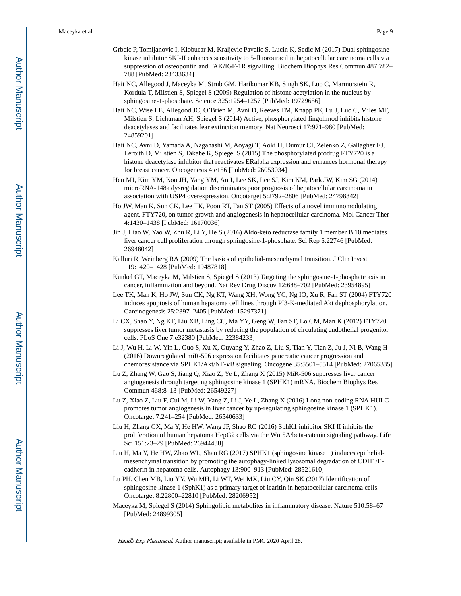- Grbcic P, Tomljanovic I, Klobucar M, Kraljevic Pavelic S, Lucin K, Sedic M (2017) Dual sphingosine kinase inhibitor SKI-II enhances sensitivity to 5-fluorouracil in hepatocellular carcinoma cells via suppression of osteopontin and FAK/IGF-1R signalling. Biochem Biophys Res Commun 487:782– 788 [PubMed: 28433634]
- Hait NC, Allegood J, Maceyka M, Strub GM, Harikumar KB, Singh SK, Luo C, Marmorstein R, Kordula T, Milstien S, Spiegel S (2009) Regulation of histone acetylation in the nucleus by sphingosine-1-phosphate. Science 325:1254–1257 [PubMed: 19729656]
- Hait NC, Wise LE, Allegood JC, O'Brien M, Avni D, Reeves TM, Knapp PE, Lu J, Luo C, Miles MF, Milstien S, Lichtman AH, Spiegel S (2014) Active, phosphorylated fingolimod inhibits histone deacetylases and facilitates fear extinction memory. Nat Neurosci 17:971–980 [PubMed: 24859201]
- Hait NC, Avni D, Yamada A, Nagahashi M, Aoyagi T, Aoki H, Dumur CI, Zelenko Z, Gallagher EJ, Leroith D, Milstien S, Takabe K, Spiegel S (2015) The phosphorylated prodrug FTY720 is a histone deacetylase inhibitor that reactivates ERalpha expression and enhances hormonal therapy for breast cancer. Oncogenesis 4:e156 [PubMed: 26053034]
- Heo MJ, Kim YM, Koo JH, Yang YM, An J, Lee SK, Lee SJ, Kim KM, Park JW, Kim SG (2014) microRNA-148a dysregulation discriminates poor prognosis of hepatocellular carcinoma in association with USP4 overexpression. Oncotarget 5:2792–2806 [PubMed: 24798342]
- Ho JW, Man K, Sun CK, Lee TK, Poon RT, Fan ST (2005) Effects of a novel immunomodulating agent, FTY720, on tumor growth and angiogenesis in hepatocellular carcinoma. Mol Cancer Ther 4:1430–1438 [PubMed: 16170036]
- Jin J, Liao W, Yao W, Zhu R, Li Y, He S (2016) Aldo-keto reductase family 1 member B 10 mediates liver cancer cell proliferation through sphingosine-1-phosphate. Sci Rep 6:22746 [PubMed: 26948042]
- Kalluri R, Weinberg RA (2009) The basics of epithelial-mesenchymal transition. J Clin Invest 119:1420–1428 [PubMed: 19487818]
- Kunkel GT, Maceyka M, Milstien S, Spiegel S (2013) Targeting the sphingosine-1-phosphate axis in cancer, inflammation and beyond. Nat Rev Drug Discov 12:688–702 [PubMed: 23954895]
- Lee TK, Man K, Ho JW, Sun CK, Ng KT, Wang XH, Wong YC, Ng IO, Xu R, Fan ST (2004) FTY720 induces apoptosis of human hepatoma cell lines through PI3-K-mediated Akt dephosphorylation. Carcinogenesis 25:2397–2405 [PubMed: 15297371]
- Li CX, Shao Y, Ng KT, Liu XB, Ling CC, Ma YY, Geng W, Fan ST, Lo CM, Man K (2012) FTY720 suppresses liver tumor metastasis by reducing the population of circulating endothelial progenitor cells. PLoS One 7:e32380 [PubMed: 22384233]
- Li J, Wu H, Li W, Yin L, Guo S, Xu X, Ouyang Y, Zhao Z, Liu S, Tian Y, Tian Z, Ju J, Ni B, Wang H (2016) Downregulated miR-506 expression facilitates pancreatic cancer progression and chemoresistance via SPHK1/Akt/NF-κB signaling. Oncogene 35:5501–5514 [PubMed: 27065335]
- Lu Z, Zhang W, Gao S, Jiang Q, Xiao Z, Ye L, Zhang X (2015) MiR-506 suppresses liver cancer angiogenesis through targeting sphingosine kinase 1 (SPHK1) mRNA. Biochem Biophys Res Commun 468:8–13 [PubMed: 26549227]
- Lu Z, Xiao Z, Liu F, Cui M, Li W, Yang Z, Li J, Ye L, Zhang X (2016) Long non-coding RNA HULC promotes tumor angiogenesis in liver cancer by up-regulating sphingosine kinase 1 (SPHK1). Oncotarget 7:241–254 [PubMed: 26540633]
- Liu H, Zhang CX, Ma Y, He HW, Wang JP, Shao RG (2016) SphK1 inhibitor SKI II inhibits the proliferation of human hepatoma HepG2 cells via the Wnt5A/beta-catenin signaling pathway. Life Sci 151:23–29 [PubMed: 26944438]
- Liu H, Ma Y, He HW, Zhao WL, Shao RG (2017) SPHK1 (sphingosine kinase 1) induces epithelialmesenchymal transition by promoting the autophagy-linked lysosomal degradation of CDH1/Ecadherin in hepatoma cells. Autophagy 13:900–913 [PubMed: 28521610]
- Lu PH, Chen MB, Liu YY, Wu MH, Li WT, Wei MX, Liu CY, Qin SK (2017) Identification of sphingosine kinase 1 (SphK1) as a primary target of icaritin in hepatocellular carcinoma cells. Oncotarget 8:22800–22810 [PubMed: 28206952]
- Maceyka M, Spiegel S (2014) Sphingolipid metabolites in inflammatory disease. Nature 510:58–67 [PubMed: 24899305]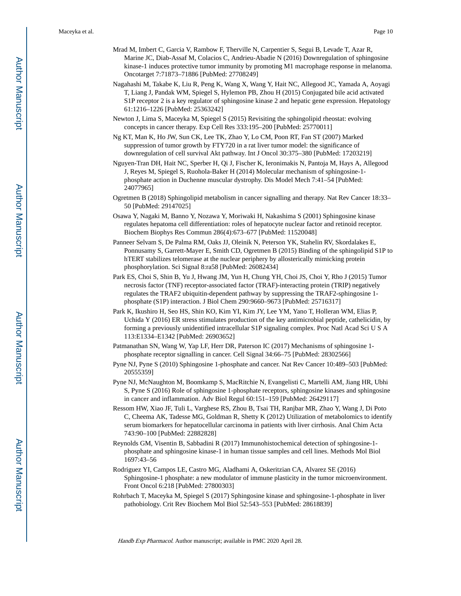- Mrad M, Imbert C, Garcia V, Rambow F, Therville N, Carpentier S, Segui B, Levade T, Azar R, Marine JC, Diab-Assaf M, Colacios C, Andrieu-Abadie N (2016) Downregulation of sphingosine kinase-1 induces protective tumor immunity by promoting M1 macrophage response in melanoma. Oncotarget 7:71873–71886 [PubMed: 27708249]
- Nagahashi M, Takabe K, Liu R, Peng K, Wang X, Wang Y, Hait NC, Allegood JC, Yamada A, Aoyagi T, Liang J, Pandak WM, Spiegel S, Hylemon PB, Zhou H (2015) Conjugated bile acid activated S1P receptor 2 is a key regulator of sphingosine kinase 2 and hepatic gene expression. Hepatology 61:1216–1226 [PubMed: 25363242]
- Newton J, Lima S, Maceyka M, Spiegel S (2015) Revisiting the sphingolipid rheostat: evolving concepts in cancer therapy. Exp Cell Res 333:195–200 [PubMed: 25770011]
- Ng KT, Man K, Ho JW, Sun CK, Lee TK, Zhao Y, Lo CM, Poon RT, Fan ST (2007) Marked suppression of tumor growth by FTY720 in a rat liver tumor model: the significance of downregulation of cell survival Akt pathway. Int J Oncol 30:375–380 [PubMed: 17203219]
- Nguyen-Tran DH, Hait NC, Sperber H, Qi J, Fischer K, Ieronimakis N, Pantoja M, Hays A, Allegood J, Reyes M, Spiegel S, Ruohola-Baker H (2014) Molecular mechanism of sphingosine-1 phosphate action in Duchenne muscular dystrophy. Dis Model Mech 7:41–54 [PubMed: 24077965]
- Ogretmen B (2018) Sphingolipid metabolism in cancer signalling and therapy. Nat Rev Cancer 18:33– 50 [PubMed: 29147025]
- Osawa Y, Nagaki M, Banno Y, Nozawa Y, Moriwaki H, Nakashima S (2001) Sphingosine kinase regulates hepatoma cell differentiation: roles of hepatocyte nuclear factor and retinoid receptor. Biochem Biophys Res Commun 286(4):673–677 [PubMed: 11520048]
- Panneer Selvam S, De Palma RM, Oaks JJ, Oleinik N, Peterson YK, Stahelin RV, Skordalakes E, Ponnusamy S, Garrett-Mayer E, Smith CD, Ogretmen B (2015) Binding of the sphingolipid S1P to hTERT stabilizes telomerase at the nuclear periphery by allosterically mimicking protein phosphorylation. Sci Signal 8:ra58 [PubMed: 26082434]
- Park ES, Choi S, Shin B, Yu J, Hwang JM, Yun H, Chung YH, Choi JS, Choi Y, Rho J (2015) Tumor necrosis factor (TNF) receptor-associated factor (TRAF)-interacting protein (TRIP) negatively regulates the TRAF2 ubiquitin-dependent pathway by suppressing the TRAF2-sphingosine 1 phosphate (S1P) interaction. J Biol Chem 290:9660–9673 [PubMed: 25716317]
- Park K, Ikushiro H, Seo HS, Shin KO, Kim YI, Kim JY, Lee YM, Yano T, Holleran WM, Elias P, Uchida Y (2016) ER stress stimulates production of the key antimicrobial peptide, cathelicidin, by forming a previously unidentified intracellular S1P signaling complex. Proc Natl Acad Sci U S A 113:E1334–E1342 [PubMed: 26903652]
- Patmanathan SN, Wang W, Yap LF, Herr DR, Paterson IC (2017) Mechanisms of sphingosine 1 phosphate receptor signalling in cancer. Cell Signal 34:66–75 [PubMed: 28302566]
- Pyne NJ, Pyne S (2010) Sphingosine 1-phosphate and cancer. Nat Rev Cancer 10:489–503 [PubMed: 20555359]
- Pyne NJ, McNaughton M, Boomkamp S, MacRitchie N, Evangelisti C, Martelli AM, Jiang HR, Ubhi S, Pyne S (2016) Role of sphingosine 1-phosphate receptors, sphingosine kinases and sphingosine in cancer and inflammation. Adv Biol Regul 60:151–159 [PubMed: 26429117]
- Ressom HW, Xiao JF, Tuli L, Varghese RS, Zhou B, Tsai TH, Ranjbar MR, Zhao Y, Wang J, Di Poto C, Cheema AK, Tadesse MG, Goldman R, Shetty K (2012) Utilization of metabolomics to identify serum biomarkers for hepatocellular carcinoma in patients with liver cirrhosis. Anal Chim Acta 743:90–100 [PubMed: 22882828]
- Reynolds GM, Visentin B, Sabbadini R (2017) Immunohistochemical detection of sphingosine-1 phosphate and sphingosine kinase-1 in human tissue samples and cell lines. Methods Mol Biol 1697:43–56
- Rodriguez YI, Campos LE, Castro MG, Aladhami A, Oskeritzian CA, Alvarez SE (2016) Sphingosine-1 phosphate: a new modulator of immune plasticity in the tumor microenvironment. Front Oncol 6:218 [PubMed: 27800303]
- Rohrbach T, Maceyka M, Spiegel S (2017) Sphingosine kinase and sphingosine-1-phosphate in liver pathobiology. Crit Rev Biochem Mol Biol 52:543–553 [PubMed: 28618839]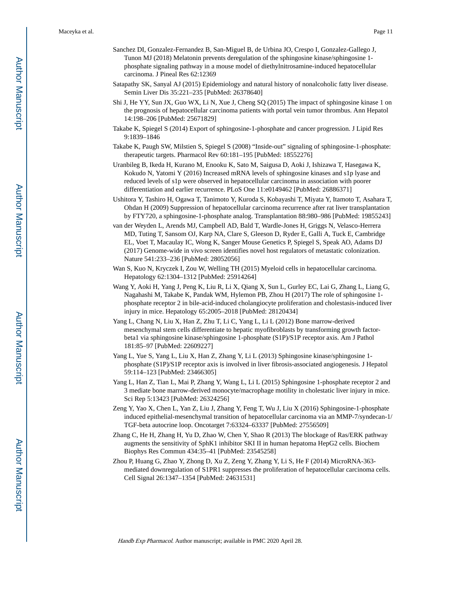- Sanchez DI, Gonzalez-Fernandez B, San-Miguel B, de Urbina JO, Crespo I, Gonzalez-Gallego J, Tunon MJ (2018) Melatonin prevents deregulation of the sphingosine kinase/sphingosine 1 phosphate signaling pathway in a mouse model of diethylnitrosamine-induced hepatocellular carcinoma. J Pineal Res 62:12369
- Satapathy SK, Sanyal AJ (2015) Epidemiology and natural history of nonalcoholic fatty liver disease. Semin Liver Dis 35:221–235 [PubMed: 26378640]
- Shi J, He YY, Sun JX, Guo WX, Li N, Xue J, Cheng SQ (2015) The impact of sphingosine kinase 1 on the prognosis of hepatocellular carcinoma patients with portal vein tumor thrombus. Ann Hepatol 14:198–206 [PubMed: 25671829]
- Takabe K, Spiegel S (2014) Export of sphingosine-1-phosphate and cancer progression. J Lipid Res 9:1839–1846
- Takabe K, Paugh SW, Milstien S, Spiegel S (2008) "Inside-out" signaling of sphingosine-1-phosphate: therapeutic targets. Pharmacol Rev 60:181–195 [PubMed: 18552276]
- Uranbileg B, Ikeda H, Kurano M, Enooku K, Sato M, Saigusa D, Aoki J, Ishizawa T, Hasegawa K, Kokudo N, Yatomi Y (2016) Increased mRNA levels of sphingosine kinases and s1p lyase and reduced levels of s1p were observed in hepatocellular carcinoma in association with poorer differentiation and earlier recurrence. PLoS One 11:e0149462 [PubMed: 26886371]
- Ushitora Y, Tashiro H, Ogawa T, Tanimoto Y, Kuroda S, Kobayashi T, Miyata Y, Itamoto T, Asahara T, Ohdan H (2009) Suppression of hepatocellular carcinoma recurrence after rat liver transplantation by FTY720, a sphingosine-1-phosphate analog. Transplantation 88:980–986 [PubMed: 19855243]
- van der Weyden L, Arends MJ, Campbell AD, Bald T, Wardle-Jones H, Griggs N, Velasco-Herrera MD, Tuting T, Sansom OJ, Karp NA, Clare S, Gleeson D, Ryder E, Galli A, Tuck E, Cambridge EL, Voet T, Macaulay IC, Wong K, Sanger Mouse Genetics P, Spiegel S, Speak AO, Adams DJ (2017) Genome-wide in vivo screen identifies novel host regulators of metastatic colonization. Nature 541:233–236 [PubMed: 28052056]
- Wan S, Kuo N, Kryczek I, Zou W, Welling TH (2015) Myeloid cells in hepatocellular carcinoma. Hepatology 62:1304–1312 [PubMed: 25914264]
- Wang Y, Aoki H, Yang J, Peng K, Liu R, Li X, Qiang X, Sun L, Gurley EC, Lai G, Zhang L, Liang G, Nagahashi M, Takabe K, Pandak WM, Hylemon PB, Zhou H (2017) The role of sphingosine 1 phosphate receptor 2 in bile-acid-induced cholangiocyte proliferation and cholestasis-induced liver injury in mice. Hepatology 65:2005–2018 [PubMed: 28120434]
- Yang L, Chang N, Liu X, Han Z, Zhu T, Li C, Yang L, Li L (2012) Bone marrow-derived mesenchymal stem cells differentiate to hepatic myofibroblasts by transforming growth factorbeta1 via sphingosine kinase/sphingosine 1-phosphate (S1P)/S1P receptor axis. Am J Pathol 181:85–97 [PubMed: 22609227]
- Yang L, Yue S, Yang L, Liu X, Han Z, Zhang Y, Li L (2013) Sphingosine kinase/sphingosine 1 phosphate (S1P)/S1P receptor axis is involved in liver fibrosis-associated angiogenesis. J Hepatol 59:114–123 [PubMed: 23466305]
- Yang L, Han Z, Tian L, Mai P, Zhang Y, Wang L, Li L (2015) Sphingosine 1-phosphate receptor 2 and 3 mediate bone marrow-derived monocyte/macrophage motility in cholestatic liver injury in mice. Sci Rep 5:13423 [PubMed: 26324256]
- Zeng Y, Yao X, Chen L, Yan Z, Liu J, Zhang Y, Feng T, Wu J, Liu X (2016) Sphingosine-1-phosphate induced epithelial-mesenchymal transition of hepatocellular carcinoma via an MMP-7/syndecan-1/ TGF-beta autocrine loop. Oncotarget 7:63324–63337 [PubMed: 27556509]
- Zhang C, He H, Zhang H, Yu D, Zhao W, Chen Y, Shao R (2013) The blockage of Ras/ERK pathway augments the sensitivity of SphK1 inhibitor SKI II in human hepatoma HepG2 cells. Biochem Biophys Res Commun 434:35–41 [PubMed: 23545258]
- Zhou P, Huang G, Zhao Y, Zhong D, Xu Z, Zeng Y, Zhang Y, Li S, He F (2014) MicroRNA-363 mediated downregulation of S1PR1 suppresses the proliferation of hepatocellular carcinoma cells. Cell Signal 26:1347–1354 [PubMed: 24631531]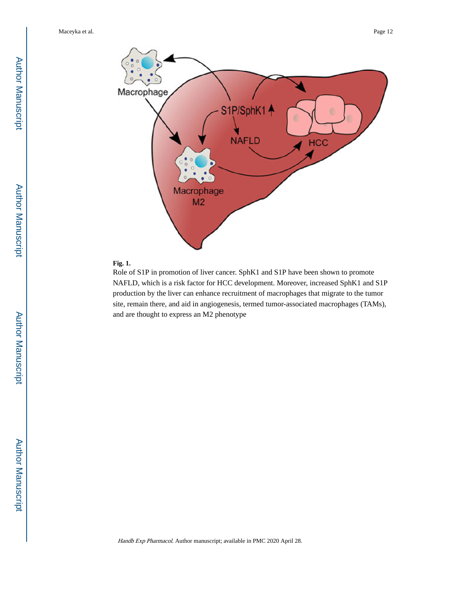

## **Fig. 1.**

Role of S1P in promotion of liver cancer. SphK1 and S1P have been shown to promote NAFLD, which is a risk factor for HCC development. Moreover, increased SphK1 and S1P production by the liver can enhance recruitment of macrophages that migrate to the tumor site, remain there, and aid in angiogenesis, termed tumor-associated macrophages (TAMs), and are thought to express an M2 phenotype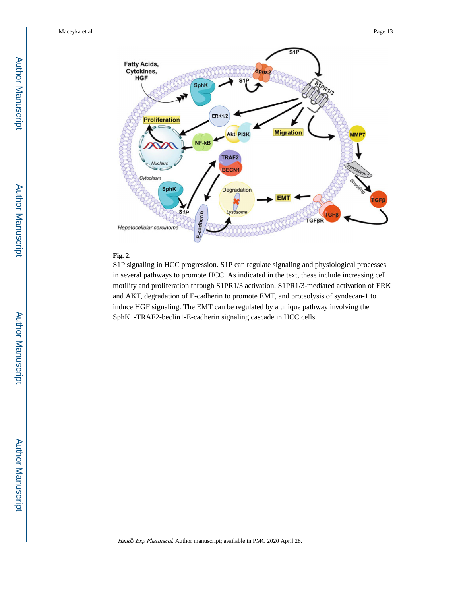

#### **Fig. 2.**

S1P signaling in HCC progression. S1P can regulate signaling and physiological processes in several pathways to promote HCC. As indicated in the text, these include increasing cell motility and proliferation through S1PR1/3 activation, S1PR1/3-mediated activation of ERK and AKT, degradation of E-cadherin to promote EMT, and proteolysis of syndecan-1 to induce HGF signaling. The EMT can be regulated by a unique pathway involving the SphK1-TRAF2-beclin1-E-cadherin signaling cascade in HCC cells